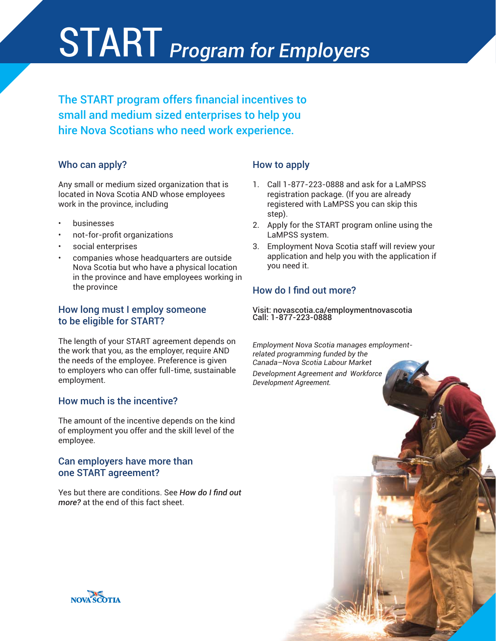# START Program for Employers

The START program offers financial incentives to small and medium sized enterprises to help you hire Nova Scotians who need work experience.

### Who can apply?

Any small or medium sized organization that is located in Nova Scotia AND whose employees work in the province, including

- **businesses**
- not-for-profit organizations
- social enterprises
- companies whose headquarters are outside Nova Scotia but who have a physical location in the province and have employees working in the province

### How long must I employ someone to be eligible for START?

The length of your START agreement depends on the work that you, as the employer, require AND the needs of the employee. Preference is given to employers who can offer full-time, sustainable employment.

### How much is the incentive?

The amount of the incentive depends on the kind of employment you offer and the skill level of the employee.

### Can employers have more than one START agreement?

Yes but there are conditions. See *How do I find out more?* at the end of this fact sheet.

### How to apply

- 1. Call 1-877-223-0888 and ask for a LaMPSS registration package. (If you are already registered with LaMPSS you can skip this step).
- 2. Apply for the START program online using the LaMPSS system.
- 3. Employment Nova Scotia staff will review your application and help you with the application if you need it.

# How do I find out more?

Visit: novascotia.ca/employmentnovascotia Call: 1-877-223-0888

*Employment Nova Scotia manages employmentrelated programming funded by the Canada–Nova Scotia Labour Market Development Agreement and Workforce Development Agreement.*